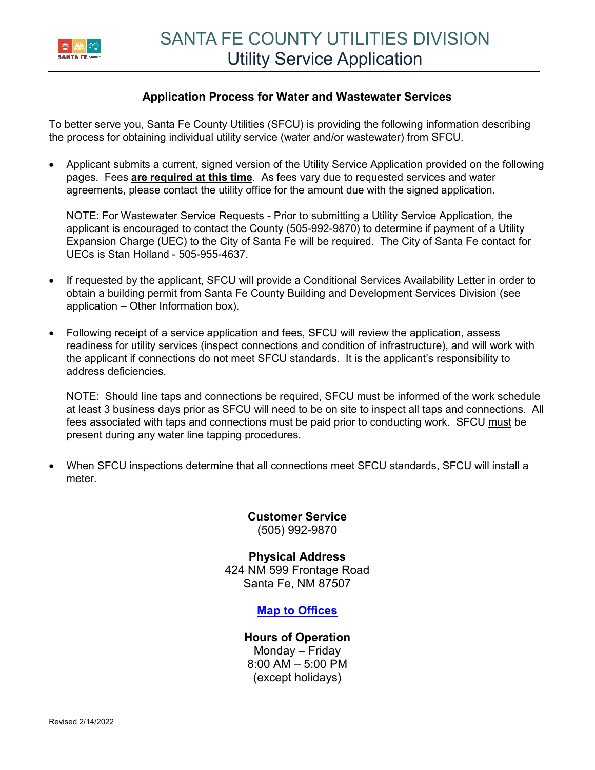

### **Application Process for Water and Wastewater Services**

To better serve you, Santa Fe County Utilities (SFCU) is providing the following information describing the process for obtaining individual utility service (water and/or wastewater) from SFCU.

 Applicant submits a current, signed version of the Utility Service Application provided on the following pages. Fees **are required at this time**. As fees vary due to requested services and water agreements, please contact the utility office for the amount due with the signed application.

NOTE: For Wastewater Service Requests - Prior to submitting a Utility Service Application, the applicant is encouraged to contact the County (505-992-9870) to determine if payment of a Utility Expansion Charge (UEC) to the City of Santa Fe will be required. The City of Santa Fe contact for UECs is Stan Holland - 505-955-4637.

- If requested by the applicant, SFCU will provide a Conditional Services Availability Letter in order to obtain a building permit from Santa Fe County Building and Development Services Division (see application – Other Information box).
- Following receipt of a service application and fees, SFCU will review the application, assess readiness for utility services (inspect connections and condition of infrastructure), and will work with the applicant if connections do not meet SFCU standards. It is the applicant's responsibility to address deficiencies.

NOTE: Should line taps and connections be required, SFCU must be informed of the work schedule at least 3 business days prior as SFCU will need to be on site to inspect all taps and connections. All fees associated with taps and connections must be paid prior to conducting work. SFCU must be present during any water line tapping procedures.

 When SFCU inspections determine that all connections meet SFCU standards, SFCU will install a meter.

> **Customer Service** (505) 992-9870

**Physical Address** 424 NM 599 Frontage Road Santa Fe, NM 87507

## **[Map to Offices](https://www.google.com/maps/place/424+NM-599+Frontage+Rd,+Santa+Fe,+NM+87507/@35.641598,-106.0703193,17z/data=!3m1!4b1!4m5!3m4!1s0x87185c79d072b791:0x443a35af6f189709!8m2!3d35.641598!4d-106.0681306?hl=en)**

### **Hours of Operation**

Monday – Friday 8:00 AM – 5:00 PM (except holidays)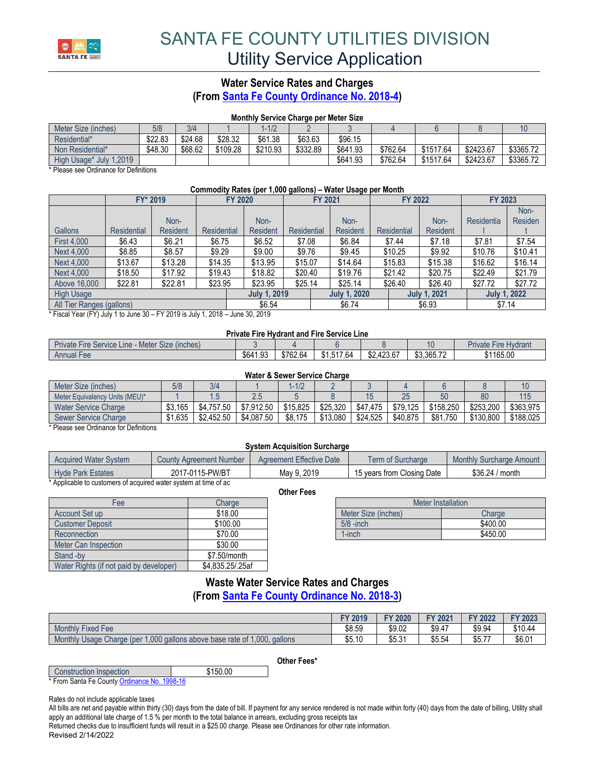

# **Water Service Rates and Charges**

**(From [Santa Fe County Ordinance No. 2018-4\)](https://www.santafecountynm.gov/documents/ordinances/Ordinance2018-4.pdf)**

#### **Monthly Service Charge per Meter Size**

| Meter Size (inches)     | 5/8     | 3/4     |          | $-1/2$   |          |          |          |           |           |           |
|-------------------------|---------|---------|----------|----------|----------|----------|----------|-----------|-----------|-----------|
| Residential*            | \$22.83 | \$24.68 | \$28.32  | \$61.38  | \$63.63  | \$96.15  |          |           |           |           |
| Non Residential*        | \$48.30 | \$68.62 | \$109.28 | \$210.93 | \$332.89 | \$641.93 | \$762.64 | \$1517.64 | \$2423.67 | \$3365.72 |
| High Usage* July 1,2019 |         |         |          |          |          | \$641.93 | \$762.64 | \$1517.64 | \$2423.67 | \$3365.72 |

\* Please see Ordinance for Definitions

#### **Commodity Rates (per 1,000 gallons) – Water Usage per Month**

|                           | FY* 2019           |                 | <b>FY 2020</b> |                     | FY 2021            |                     | <b>FY 2022</b>     |                     | FY 2023    |                     |
|---------------------------|--------------------|-----------------|----------------|---------------------|--------------------|---------------------|--------------------|---------------------|------------|---------------------|
|                           |                    |                 |                |                     |                    |                     |                    |                     |            | Non-                |
|                           |                    | Non-            |                | Non-                |                    | Non-                |                    | Non-                | Residentia | <b>Residen</b>      |
| Gallons                   | <b>Residential</b> | <b>Resident</b> | Residential    | <b>Resident</b>     | <b>Residential</b> | <b>Resident</b>     | <b>Residential</b> | <b>Resident</b>     |            |                     |
| <b>First 4,000</b>        | \$6.43             | \$6.21          | \$6.75         | \$6.52              | \$7.08             | \$6.84              | \$7.44             | \$7.18              | \$7.81     | \$7.54              |
| Next 4,000                | \$8.85             | \$8.57          | \$9.29         | \$9.00              | \$9.76             | \$9.45              | \$10.25            | \$9.92              | \$10.76    | \$10.41             |
| Next 4,000                | \$13.67            | \$13.28         | \$14.35        | \$13.95             | \$15.07            | \$14.64             | \$15.83            | \$15.38             | \$16.62    | \$16.14             |
| Next 4,000                | \$18.50            | \$17.92         | \$19.43        | \$18.82             | \$20.40            | \$19.76             | \$21.42            | \$20.75             | \$22.49    | \$21.79             |
| Above 16,000              | \$22.81            | \$22.81         | \$23.95        | \$23.95             | \$25.14            | \$25.14             | \$26.40            | \$26.40             | \$27.72    | \$27.72             |
| <b>High Usage</b>         |                    |                 |                | <b>July 1, 2019</b> |                    | <b>July 1, 2020</b> |                    | <b>July 1, 2021</b> |            | <b>July 1, 2022</b> |
| All Tier Ranges (gallons) |                    |                 |                | \$6.54              |                    | \$6.74              |                    | \$6.93              |            | \$7.14              |

\* Fiscal Year (FY) July 1 to June 30 – FY 2019 is July 1, 2018 – June 30, 2019

#### **Private Fire Hydrant and Fire Service Line**

| - Meter Size (inches)<br>Private Fire Service Line |          |          |            |            | ΙU         | <b>Private Fire Hydrant</b> |
|----------------------------------------------------|----------|----------|------------|------------|------------|-----------------------------|
| Annual Fee                                         | \$641.93 | \$762.64 | \$1.517.64 | \$2,423.67 | \$3.365.72 | \$1165.00                   |

#### **Water & Sewer Service Charge**

| Meter Size (inches)                   | 5/8     | 3/4        |            | $1 - 1/2$ |          |          |          |              |           |           |
|---------------------------------------|---------|------------|------------|-----------|----------|----------|----------|--------------|-----------|-----------|
| Meter Equivalency Units (MEU)*        |         | c. i       |            |           |          | 15       | 25       | 50           | 80        | 115       |
| <b>Water Service Charge</b>           | \$3,165 | \$4.757.50 | \$7.912.50 | \$15.825  | \$25,320 | \$47.475 | \$79.125 | \$158,250    | \$253,200 | \$363.975 |
| <b>Sewer Service Charge</b>           | .635    | \$2.452.50 | \$4.087.50 | \$8,175   | \$13.080 | \$24.525 | \$40.875 | \$81<br>.750 | \$130,800 | \$188,025 |
| $*$ Discussed Additional funDifferent |         |            |            |           |          |          |          |              |           |           |

Please see Ordinance for Definitions

#### **System Acquisition Surcharge**

| <b>Acquired Water System</b> | County Agreement Number | <b>Agreement Effective Date</b> | Term of Surcharge          | Monthly Surcharge Amount |
|------------------------------|-------------------------|---------------------------------|----------------------------|--------------------------|
| <b>Hyde Park Estates</b>     | 2017-0115-PW/BT         | May 9, 2019                     | 15 years from Closing Date | \$36.24 / month          |

**Other Fees**

\* Applicable to customers of acquired water system at time of ac

| Fee                                     | Charge           |                     | Meter Installation |
|-----------------------------------------|------------------|---------------------|--------------------|
| Account Set up                          | \$18.00          | Meter Size (inches) | Charge             |
| <b>Customer Deposit</b>                 | \$100.00         | $5/8$ -inch         | \$400.00           |
| Reconnection                            | \$70.00          | 1-inch              | \$450.00           |
| Meter Can Inspection                    | \$30.00          |                     |                    |
| Stand -by                               | \$7.50/month     |                     |                    |
| Water Rights (if not paid by developer) | \$4.835.25/.25af |                     |                    |

| <b>Meter Installation</b> |          |  |  |  |  |
|---------------------------|----------|--|--|--|--|
| Meter Size (inches)       | Charge   |  |  |  |  |
| $5/8$ -inch               | \$400.00 |  |  |  |  |
| $1$ -inch                 | \$450.00 |  |  |  |  |

## **Waste Water Service Rates and Charges**

**(From [Santa Fe County Ordinance No. 2018-3\)](https://www.santafecountynm.gov/documents/ordinances/Ordinance_2018-3.pdf)**

|                                                                                    | <b>FY 2019</b> | <b>FY 2020</b> | <b>FY 2021</b> | <b>FY 2022</b> | FY 2023 |
|------------------------------------------------------------------------------------|----------------|----------------|----------------|----------------|---------|
| <b>Monthly Fixed Fee</b>                                                           | \$8.59         | \$9.02         | \$9.47         | \$9.94         | \$10.44 |
| 1,000 gallons above base rate of 1,000,<br>Monthly Usage Charge (per 1,<br>gallons | \$5.10         | \$5.31         | \$5.54         | \$5.77         | \$6.01  |

**Other Fees\***

Construction Inspection **1999 \$150.00** \* From Santa Fe Count[y Ordinance No. 1998-16](https://www.santafecountynm.gov/documents/ordinances/Ordinance1998-16.pdf)

Rates do not include applicable taxes

All bills are net and payable within thirty (30) days from the date of bill. If payment for any service rendered is not made within forty (40) days from the date of billing, Utility shall apply an additional late charge of 1.5 % per month to the total balance in arrears, excluding gross receipts tax

Returned checks due to insufficient funds will result in a \$25.00 charge. Please see Ordinances for other rate information.

Revised 2/14/2022